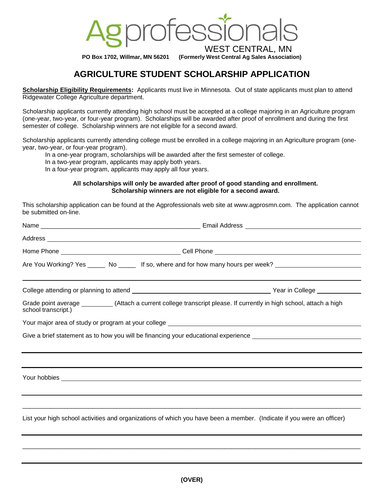

**PO Box 1702, Willmar, MN 56201 (Formerly West Central Ag Sales Association)**

# **AGRICULTURE STUDENT SCHOLARSHIP APPLICATION**

**Scholarship Eligibility Requirements:** Applicants must live in Minnesota. Out of state applicants must plan to attend Ridgewater College Agriculture department.

Scholarship applicants currently attending high school must be accepted at a college majoring in an Agriculture program (one-year, two-year, or four-year program). Scholarships will be awarded after proof of enrollment and during the first semester of college. Scholarship winners are not eligible for a second award.

Scholarship applicants currently attending college must be enrolled in a college majoring in an Agriculture program (oneyear, two-year, or four-year program).

In a one-year program, scholarships will be awarded after the first semester of college.

In a two-year program, applicants may apply both years.

In a four-year program, applicants may apply all four years.

#### **All scholarships will only be awarded after proof of good standing and enrollment. Scholarship winners are not eligible for a second award.**

This scholarship application can be found at the Agprofessionals web site at www.agprosmn.com. The application cannot [be submitted on-line.](http://www.agprosmn.com/) 

|                     |  | Address experience and the contract of the contract of the contract of the contract of the contract of the contract of the contract of the contract of the contract of the contract of the contract of the contract of the con |
|---------------------|--|--------------------------------------------------------------------------------------------------------------------------------------------------------------------------------------------------------------------------------|
|                     |  |                                                                                                                                                                                                                                |
|                     |  | Are You Working? Yes ______ No _____ If so, where and for how many hours per week? __________________________                                                                                                                  |
|                     |  |                                                                                                                                                                                                                                |
| school transcript.) |  | Grade point average __________(Attach a current college transcript please. If currently in high school, attach a high                                                                                                          |
|                     |  |                                                                                                                                                                                                                                |
|                     |  | Give a brief statement as to how you will be financing your educational experience ___________________________                                                                                                                 |
|                     |  |                                                                                                                                                                                                                                |
|                     |  |                                                                                                                                                                                                                                |
|                     |  |                                                                                                                                                                                                                                |
|                     |  |                                                                                                                                                                                                                                |
|                     |  |                                                                                                                                                                                                                                |
|                     |  | List your high school activities and organizations of which you have been a member. (Indicate if you were an officer)                                                                                                          |
|                     |  |                                                                                                                                                                                                                                |

\_\_\_\_\_\_\_\_\_\_\_\_\_\_\_\_\_\_\_\_\_\_\_\_\_\_\_\_\_\_\_\_\_\_\_\_\_\_\_\_\_\_\_\_\_\_\_\_\_\_\_\_\_\_\_\_\_\_\_\_\_\_\_\_\_\_\_\_\_\_\_\_\_\_\_\_\_\_\_\_\_\_\_\_\_\_\_\_\_\_\_\_\_\_\_\_\_